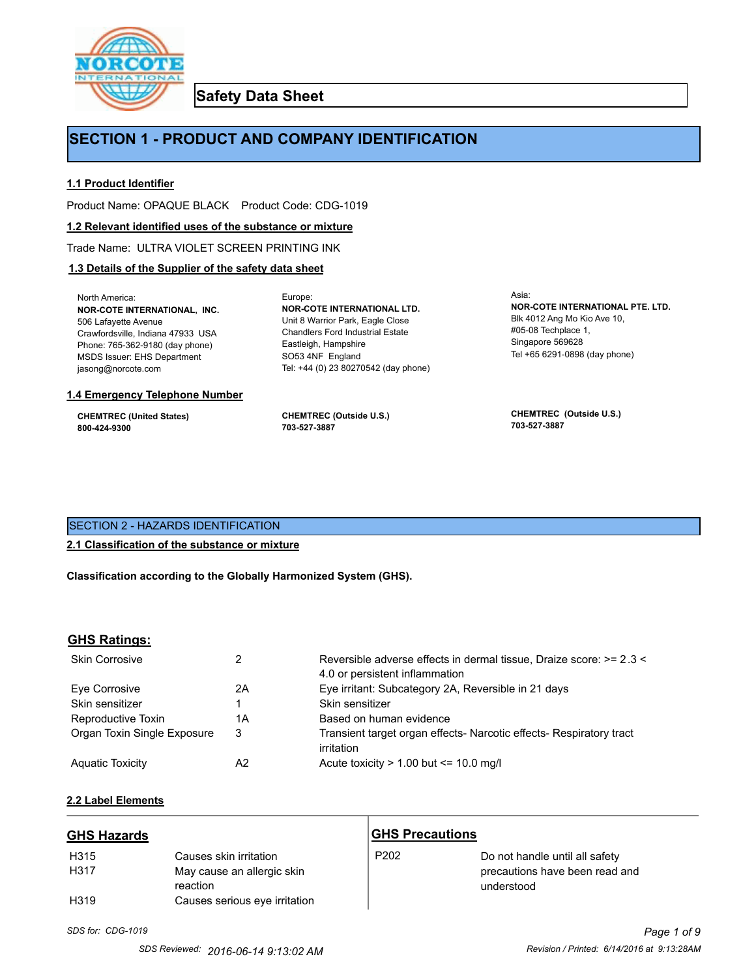

**Safety Data Sheet**

# **SECTION 1 - PRODUCT AND COMPANY IDENTIFICATION**

Europe:

### **1.1 Product Identifier**

Product Name: OPAQUE BLACK Product Code: CDG-1019

#### **1.2 Relevant identified uses of the substance or mixture**

Trade Name: ULTRA VIOLET SCREEN PRINTING INK

### **1.3 Details of the Supplier of the safety data sheet**

North America: **NOR-COTE INTERNATIONAL, INC.** 506 Lafayette Avenue Crawfordsville, Indiana 47933 USA Phone: 765-362-9180 (day phone) MSDS Issuer: EHS Department jasong@norcote.com

#### **1.4 Emergency Telephone Number**

**CHEMTREC (United States) 800-424-9300**

**CHEMTREC (Outside U.S.) 703-527-3887**

Eastleigh, Hampshire SO53 4NF England

**NOR-COTE INTERNATIONAL LTD.** Unit 8 Warrior Park, Eagle Close Chandlers Ford Industrial Estate

Tel: +44 (0) 23 80270542 (day phone)

Asia: **NOR-COTE INTERNATIONAL PTE. LTD.** Blk 4012 Ang Mo Kio Ave 10, #05-08 Techplace 1, Singapore 569628 Tel +65 6291-0898 (day phone)

**CHEMTREC (Outside U.S.) 703-527-3887**

### SECTION 2 - HAZARDS IDENTIFICATION

#### **2.1 Classification of the substance or mixture**

**Classification according to the Globally Harmonized System (GHS).**

#### **GHS Ratings:**

| <b>Skin Corrosive</b>       |    | Reversible adverse effects in dermal tissue, Draize score: >= 2.3 < |  |
|-----------------------------|----|---------------------------------------------------------------------|--|
|                             |    | 4.0 or persistent inflammation                                      |  |
| Eve Corrosive               | 2Α | Eye irritant: Subcategory 2A, Reversible in 21 days                 |  |
| Skin sensitizer             |    | Skin sensitizer                                                     |  |
| Reproductive Toxin          | 1Α | Based on human evidence                                             |  |
| Organ Toxin Single Exposure | 3  | Transient target organ effects- Narcotic effects- Respiratory tract |  |
|                             |    | irritation                                                          |  |
| <b>Aquatic Toxicity</b>     | A2 | Acute toxicity $> 1.00$ but $\leq 10.0$ mg/l                        |  |

#### **2.2 Label Elements**

| <b>GHS Hazards</b> |                                        | <b>GHS Precautions</b> |                                              |
|--------------------|----------------------------------------|------------------------|----------------------------------------------|
| H315               | Causes skin irritation                 | P <sub>202</sub>       | Do not handle until all safety               |
| H317               | May cause an allergic skin<br>reaction |                        | precautions have been read and<br>understood |
| H <sub>3</sub> 19  | Causes serious eye irritation          |                        |                                              |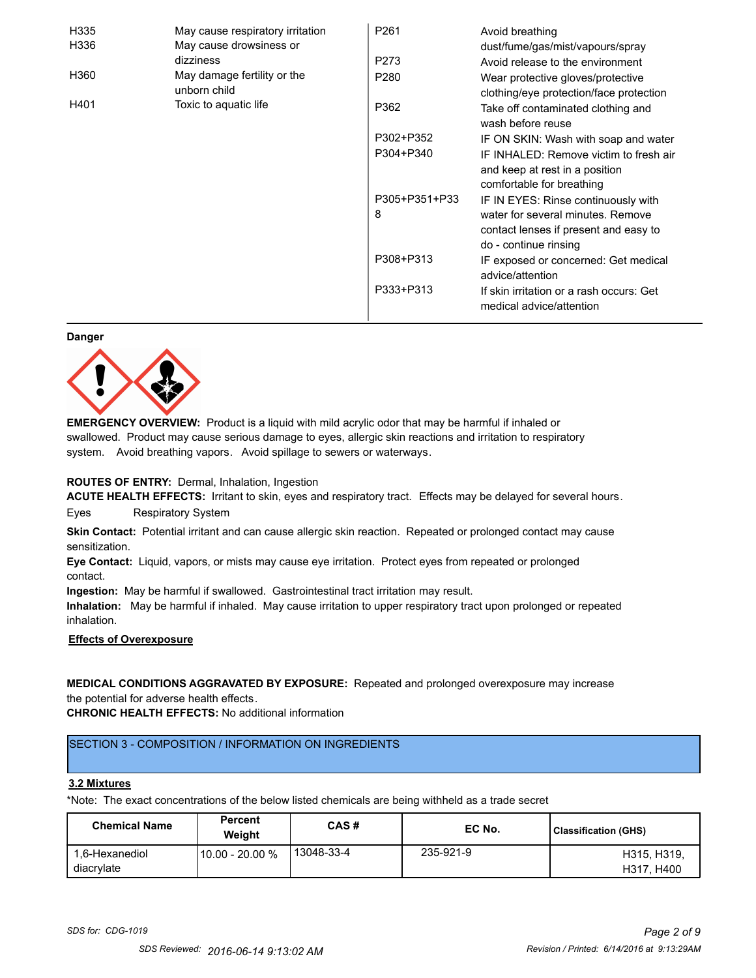| H335 | May cause respiratory irritation            | P <sub>261</sub> | Avoid breathing                                                                                       |
|------|---------------------------------------------|------------------|-------------------------------------------------------------------------------------------------------|
| H336 | May cause drowsiness or                     |                  | dust/fume/gas/mist/vapours/spray                                                                      |
|      | dizziness                                   | P273             | Avoid release to the environment                                                                      |
| H360 | May damage fertility or the<br>unborn child | P <sub>280</sub> | Wear protective gloves/protective<br>clothing/eye protection/face protection                          |
| H401 | Toxic to aquatic life                       | P362             | Take off contaminated clothing and<br>wash before reuse                                               |
|      |                                             | P302+P352        | IF ON SKIN: Wash with soap and water                                                                  |
|      |                                             | P304+P340        | IF INHALED: Remove victim to fresh air<br>and keep at rest in a position<br>comfortable for breathing |
|      |                                             | P305+P351+P33    | IF IN EYES: Rinse continuously with                                                                   |
|      |                                             | 8                | water for several minutes. Remove<br>contact lenses if present and easy to                            |
|      |                                             |                  | do - continue rinsing                                                                                 |
|      |                                             | P308+P313        | IF exposed or concerned: Get medical<br>advice/attention                                              |
|      |                                             | P333+P313        | If skin irritation or a rash occurs: Get<br>medical advice/attention                                  |

#### **Danger**



**EMERGENCY OVERVIEW:** Product is a liquid with mild acrylic odor that may be harmful if inhaled or swallowed. Product may cause serious damage to eyes, allergic skin reactions and irritation to respiratory system. Avoid breathing vapors. Avoid spillage to sewers or waterways.

#### **ROUTES OF ENTRY:** Dermal, Inhalation, Ingestion

**ACUTE HEALTH EFFECTS:** Irritant to skin, eyes and respiratory tract. Effects may be delayed for several hours. Eyes Respiratory System

**Skin Contact:** Potential irritant and can cause allergic skin reaction. Repeated or prolonged contact may cause sensitization.

**Eye Contact:** Liquid, vapors, or mists may cause eye irritation. Protect eyes from repeated or prolonged contact.

**Ingestion:** May be harmful if swallowed. Gastrointestinal tract irritation may result.

**Inhalation:** May be harmful if inhaled. May cause irritation to upper respiratory tract upon prolonged or repeated inhalation.

### **Effects of Overexposure**

**MEDICAL CONDITIONS AGGRAVATED BY EXPOSURE:** Repeated and prolonged overexposure may increase the potential for adverse health effects.

**CHRONIC HEALTH EFFECTS:** No additional information

# SECTION 3 - COMPOSITION / INFORMATION ON INGREDIENTS

### **3.2 Mixtures**

\*Note: The exact concentrations of the below listed chemicals are being withheld as a trade secret

| <b>Chemical Name</b>         | <b>Percent</b><br>Weiaht | CAS#       | EC No.    | <b>Classification (GHS)</b> |
|------------------------------|--------------------------|------------|-----------|-----------------------------|
| 1.6-Hexanediol<br>diacrylate | 10.00 - 20.00 %          | 13048-33-4 | 235-921-9 | H315, H319.<br>H317, H400   |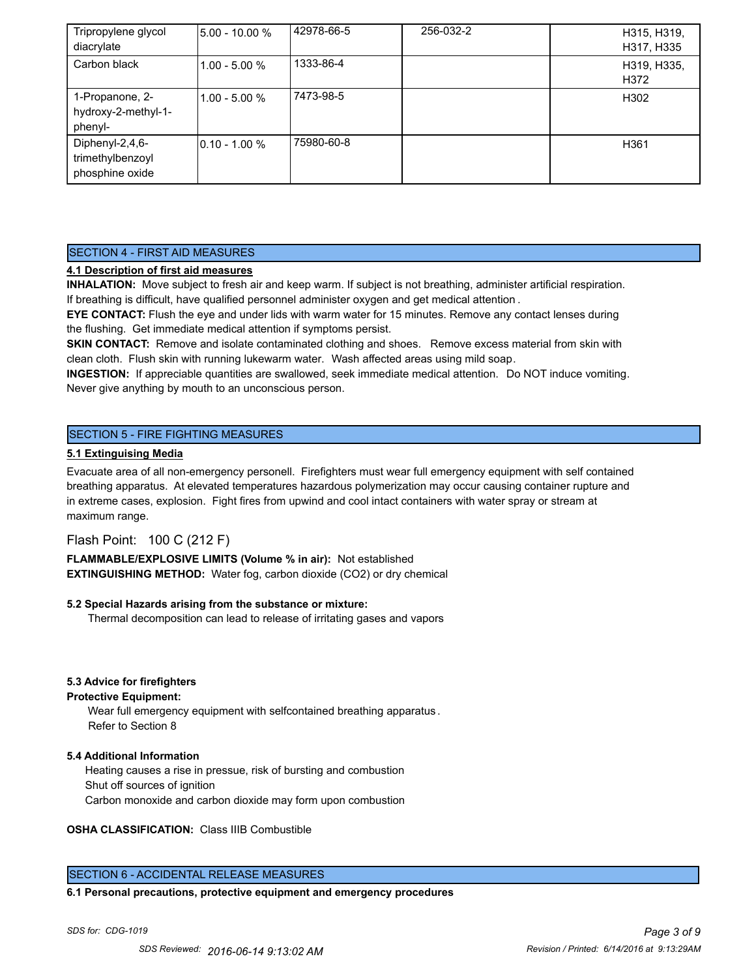| Tripropylene glycol<br>diacrylate                      | 5.00 - 10.00 %  | 42978-66-5 | 256-032-2 | H315, H319,<br>H317, H335 |
|--------------------------------------------------------|-----------------|------------|-----------|---------------------------|
| Carbon black                                           | $1.00 - 5.00 %$ | 1333-86-4  |           | H319, H335,<br>H372       |
| 1-Propanone, 2-<br>hydroxy-2-methyl-1-<br>phenyl-      | $1.00 - 5.00 %$ | 7473-98-5  |           | H302                      |
| Diphenyl-2,4,6-<br>trimethylbenzoyl<br>phosphine oxide | 0.10 - 1.00 %   | 75980-60-8 |           | H <sub>361</sub>          |

## SECTION 4 - FIRST AID MEASURES

### **4.1 Description of first aid measures**

**INHALATION:** Move subject to fresh air and keep warm. If subject is not breathing, administer artificial respiration. If breathing is difficult, have qualified personnel administer oxygen and get medical attention .

**EYE CONTACT:** Flush the eye and under lids with warm water for 15 minutes. Remove any contact lenses during the flushing. Get immediate medical attention if symptoms persist.

**SKIN CONTACT:** Remove and isolate contaminated clothing and shoes. Remove excess material from skin with clean cloth. Flush skin with running lukewarm water. Wash affected areas using mild soap.

**INGESTION:** If appreciable quantities are swallowed, seek immediate medical attention. Do NOT induce vomiting. Never give anything by mouth to an unconscious person.

### SECTION 5 - FIRE FIGHTING MEASURES

#### **5.1 Extinguising Media**

Evacuate area of all non-emergency personell. Firefighters must wear full emergency equipment with self contained breathing apparatus. At elevated temperatures hazardous polymerization may occur causing container rupture and in extreme cases, explosion. Fight fires from upwind and cool intact containers with water spray or stream at maximum range.

### Flash Point: 100 C (212 F)

**FLAMMABLE/EXPLOSIVE LIMITS (Volume % in air):** Not established **EXTINGUISHING METHOD:** Water fog, carbon dioxide (CO2) or dry chemical

#### **5.2 Special Hazards arising from the substance or mixture:**

Thermal decomposition can lead to release of irritating gases and vapors

#### **5.3 Advice for firefighters**

#### **Protective Equipment:**

Wear full emergency equipment with selfcontained breathing apparatus . Refer to Section 8

#### **5.4 Additional Information**

 Heating causes a rise in pressue, risk of bursting and combustion Shut off sources of ignition Carbon monoxide and carbon dioxide may form upon combustion

**OSHA CLASSIFICATION:** Class IIIB Combustible

### SECTION 6 - ACCIDENTAL RELEASE MEASURES

**6.1 Personal precautions, protective equipment and emergency procedures**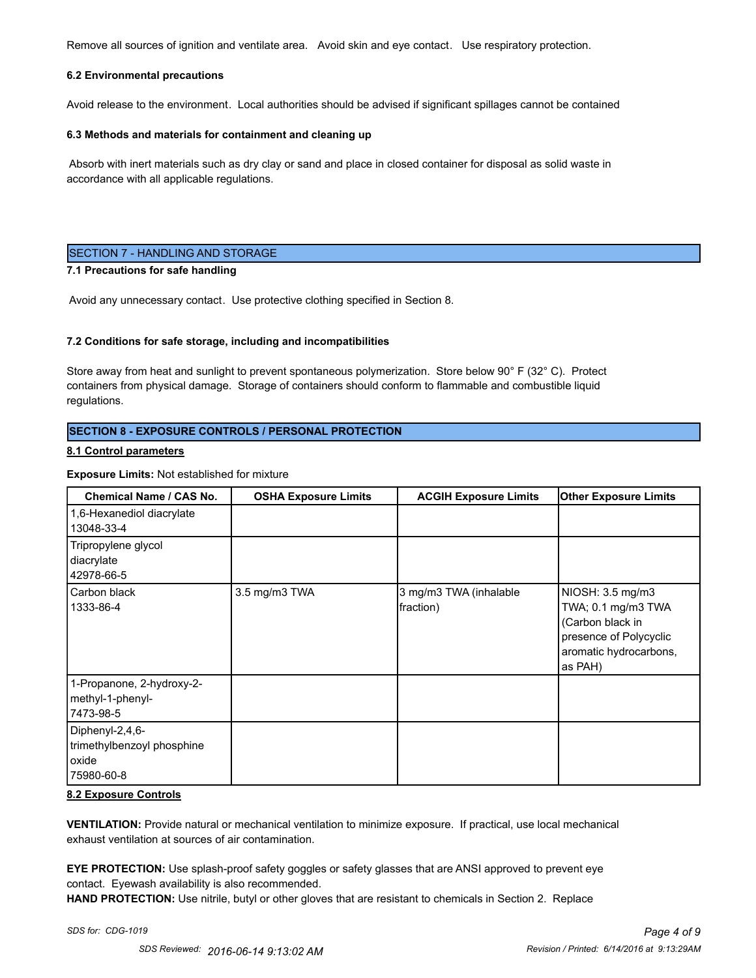Remove all sources of ignition and ventilate area. Avoid skin and eye contact. Use respiratory protection.

#### **6.2 Environmental precautions**

Avoid release to the environment. Local authorities should be advised if significant spillages cannot be contained

#### **6.3 Methods and materials for containment and cleaning up**

 Absorb with inert materials such as dry clay or sand and place in closed container for disposal as solid waste in accordance with all applicable regulations.

### SECTION 7 - HANDLING AND STORAGE

#### **7.1 Precautions for safe handling**

Avoid any unnecessary contact. Use protective clothing specified in Section 8.

#### **7.2 Conditions for safe storage, including and incompatibilities**

Store away from heat and sunlight to prevent spontaneous polymerization. Store below 90° F (32° C). Protect containers from physical damage. Storage of containers should conform to flammable and combustible liquid regulations.

### **SECTION 8 - EXPOSURE CONTROLS / PERSONAL PROTECTION**

#### **8.1 Control parameters**

#### **Exposure Limits:** Not established for mixture

| <b>Chemical Name / CAS No.</b>                                       | <b>OSHA Exposure Limits</b> | <b>ACGIH Exposure Limits</b>        | <b>Other Exposure Limits</b>                                                                                              |
|----------------------------------------------------------------------|-----------------------------|-------------------------------------|---------------------------------------------------------------------------------------------------------------------------|
| 1,6-Hexanediol diacrylate<br>13048-33-4                              |                             |                                     |                                                                                                                           |
| Tripropylene glycol<br>diacrylate<br>42978-66-5                      |                             |                                     |                                                                                                                           |
| Carbon black<br>1333-86-4                                            | 3.5 mg/m3 TWA               | 3 mg/m3 TWA (inhalable<br>fraction) | NIOSH: 3.5 mg/m3<br>TWA; 0.1 mg/m3 TWA<br>(Carbon black in<br>presence of Polycyclic<br>aromatic hydrocarbons,<br>as PAH) |
| 1-Propanone, 2-hydroxy-2-<br>methyl-1-phenyl-<br>7473-98-5           |                             |                                     |                                                                                                                           |
| Diphenyl-2,4,6-<br>trimethylbenzoyl phosphine<br>oxide<br>75980-60-8 |                             |                                     |                                                                                                                           |

#### **8.2 Exposure Controls**

**VENTILATION:** Provide natural or mechanical ventilation to minimize exposure. If practical, use local mechanical exhaust ventilation at sources of air contamination.

**EYE PROTECTION:** Use splash-proof safety goggles or safety glasses that are ANSI approved to prevent eye contact. Eyewash availability is also recommended.

**HAND PROTECTION:** Use nitrile, butyl or other gloves that are resistant to chemicals in Section 2. Replace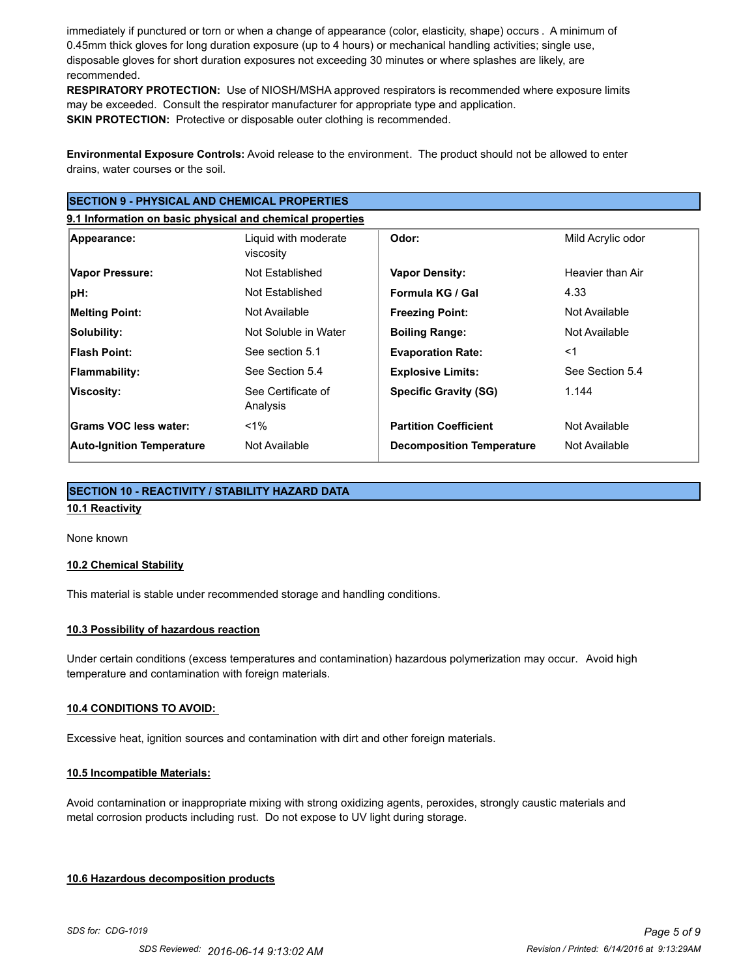immediately if punctured or torn or when a change of appearance (color, elasticity, shape) occurs . A minimum of 0.45mm thick gloves for long duration exposure (up to 4 hours) or mechanical handling activities; single use, disposable gloves for short duration exposures not exceeding 30 minutes or where splashes are likely, are recommended.

**RESPIRATORY PROTECTION:** Use of NIOSH/MSHA approved respirators is recommended where exposure limits may be exceeded. Consult the respirator manufacturer for appropriate type and application. **SKIN PROTECTION:** Protective or disposable outer clothing is recommended.

**Environmental Exposure Controls:** Avoid release to the environment. The product should not be allowed to enter drains, water courses or the soil.

| <b>SECTION 9 - PHYSICAL AND CHEMICAL PROPERTIES</b>       |                                   |                                  |                   |  |
|-----------------------------------------------------------|-----------------------------------|----------------------------------|-------------------|--|
| 9.1 Information on basic physical and chemical properties |                                   |                                  |                   |  |
| Appearance:                                               | Liquid with moderate<br>viscosity | Odor:                            | Mild Acrylic odor |  |
| Vapor Pressure:                                           | Not Established                   | <b>Vapor Density:</b>            | Heavier than Air  |  |
| ∣pH:                                                      | Not Established                   | Formula KG / Gal                 | 4.33              |  |
| <b>Melting Point:</b>                                     | Not Available                     | <b>Freezing Point:</b>           | Not Available     |  |
| Solubility:                                               | Not Soluble in Water              | <b>Boiling Range:</b>            | Not Available     |  |
| <b>Flash Point:</b>                                       | See section 5.1                   | <b>Evaporation Rate:</b>         | $<$ 1             |  |
| <b>Flammability:</b>                                      | See Section 5.4                   | <b>Explosive Limits:</b>         | See Section 5.4   |  |
| Viscosity:                                                | See Certificate of<br>Analysis    | <b>Specific Gravity (SG)</b>     | 1.144             |  |
| Grams VOC less water:                                     | $1\%$                             | <b>Partition Coefficient</b>     | Not Available     |  |
| <b>Auto-Ignition Temperature</b>                          | Not Available                     | <b>Decomposition Temperature</b> | Not Available     |  |

### **SECTION 10 - REACTIVITY / STABILITY HAZARD DATA**

### **10.1 Reactivity**

#### None known

#### **10.2 Chemical Stability**

This material is stable under recommended storage and handling conditions.

### **10.3 Possibility of hazardous reaction**

Under certain conditions (excess temperatures and contamination) hazardous polymerization may occur. Avoid high temperature and contamination with foreign materials.

#### **10.4 CONDITIONS TO AVOID:**

Excessive heat, ignition sources and contamination with dirt and other foreign materials.

#### **10.5 Incompatible Materials:**

Avoid contamination or inappropriate mixing with strong oxidizing agents, peroxides, strongly caustic materials and metal corrosion products including rust. Do not expose to UV light during storage.

#### **10.6 Hazardous decomposition products**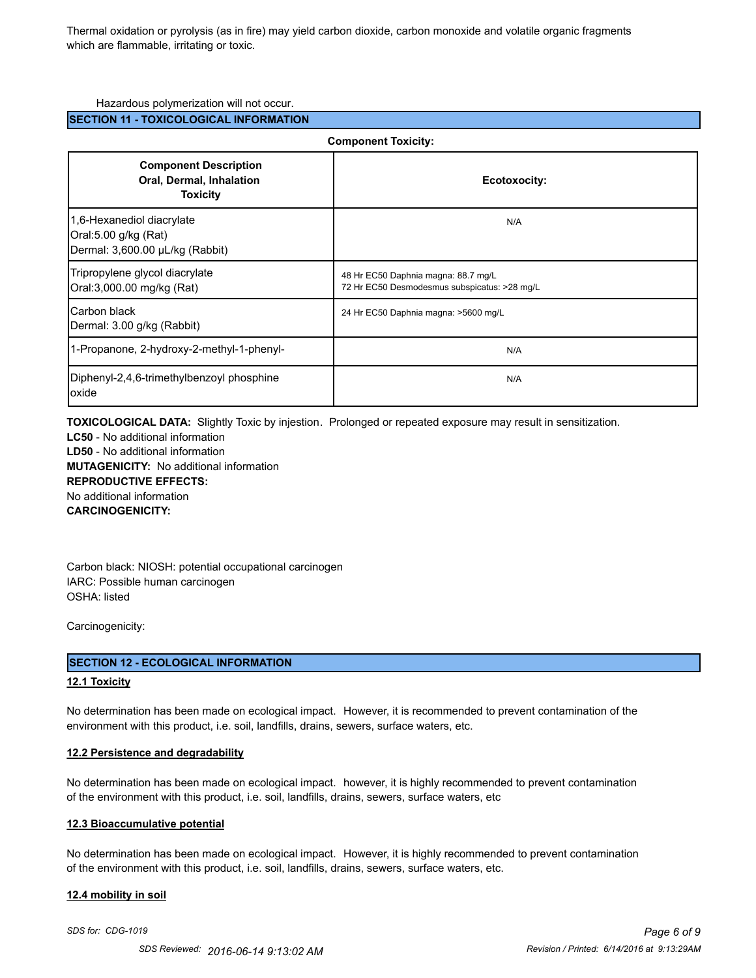Thermal oxidation or pyrolysis (as in fire) may yield carbon dioxide, carbon monoxide and volatile organic fragments which are flammable, irritating or toxic.

#### Hazardous polymerization will not occur.

### **SECTION 11 - TOXICOLOGICAL INFORMATION**

| <b>Component Toxicity:</b>                                                           |                                                                                     |  |
|--------------------------------------------------------------------------------------|-------------------------------------------------------------------------------------|--|
| <b>Component Description</b><br>Oral, Dermal, Inhalation<br><b>Toxicity</b>          | Ecotoxocity:                                                                        |  |
| 1,6-Hexanediol diacrylate<br>Oral:5.00 g/kg (Rat)<br>Dermal: 3,600.00 µL/kg (Rabbit) | N/A                                                                                 |  |
| Tripropylene glycol diacrylate<br>Oral:3,000.00 mg/kg (Rat)                          | 48 Hr EC50 Daphnia magna: 88.7 mg/L<br>72 Hr EC50 Desmodesmus subspicatus: >28 mg/L |  |
| <b>Carbon black</b><br>Dermal: 3.00 g/kg (Rabbit)                                    | 24 Hr EC50 Daphnia magna: >5600 mg/L                                                |  |
| 1-Propanone, 2-hydroxy-2-methyl-1-phenyl-                                            | N/A                                                                                 |  |
| Diphenyl-2,4,6-trimethylbenzoyl phosphine<br>oxide                                   | N/A                                                                                 |  |

**TOXICOLOGICAL DATA:** Slightly Toxic by injestion. Prolonged or repeated exposure may result in sensitization.

**LC50** - No additional information **LD50** - No additional information **MUTAGENICITY:** No additional information **REPRODUCTIVE EFFECTS:** No additional information **CARCINOGENICITY:**

Carbon black: NIOSH: potential occupational carcinogen IARC: Possible human carcinogen OSHA: listed

Carcinogenicity:

#### **SECTION 12 - ECOLOGICAL INFORMATION**

#### **12.1 Toxicity**

No determination has been made on ecological impact. However, it is recommended to prevent contamination of the environment with this product, i.e. soil, landfills, drains, sewers, surface waters, etc.

#### **12.2 Persistence and degradability**

No determination has been made on ecological impact. however, it is highly recommended to prevent contamination of the environment with this product, i.e. soil, landfills, drains, sewers, surface waters, etc

#### **12.3 Bioaccumulative potential**

No determination has been made on ecological impact. However, it is highly recommended to prevent contamination of the environment with this product, i.e. soil, landfills, drains, sewers, surface waters, etc.

#### **12.4 mobility in soil**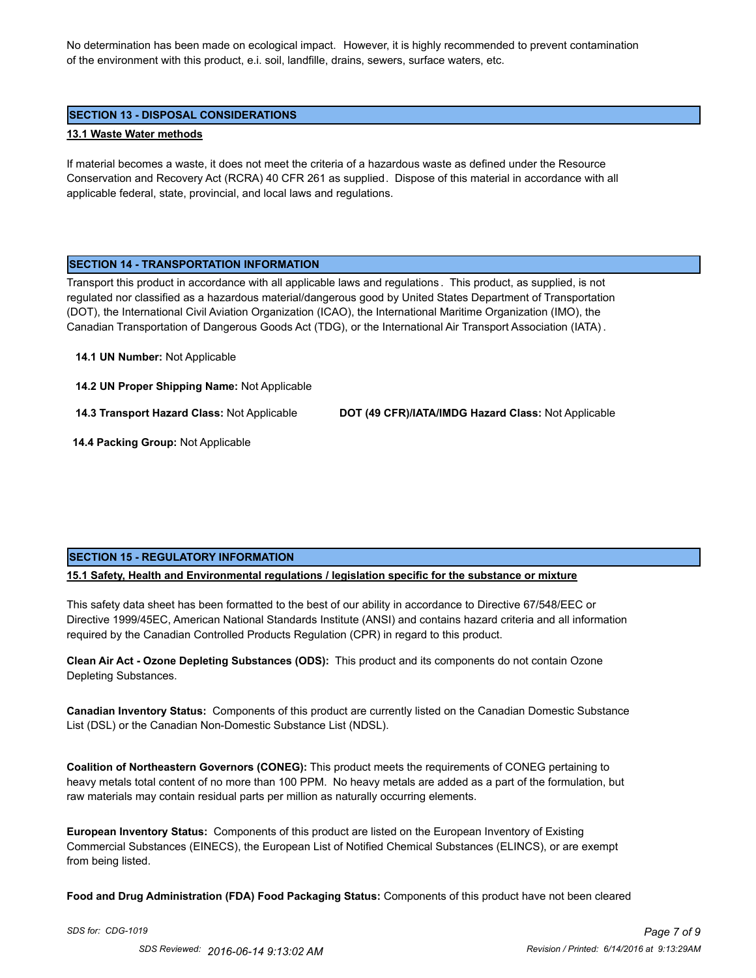No determination has been made on ecological impact. However, it is highly recommended to prevent contamination of the environment with this product, e.i. soil, landfille, drains, sewers, surface waters, etc.

### **SECTION 13 - DISPOSAL CONSIDERATIONS**

#### **13.1 Waste Water methods**

If material becomes a waste, it does not meet the criteria of a hazardous waste as defined under the Resource Conservation and Recovery Act (RCRA) 40 CFR 261 as supplied. Dispose of this material in accordance with all applicable federal, state, provincial, and local laws and regulations.

#### **SECTION 14 - TRANSPORTATION INFORMATION**

Transport this product in accordance with all applicable laws and regulations . This product, as supplied, is not regulated nor classified as a hazardous material/dangerous good by United States Department of Transportation (DOT), the International Civil Aviation Organization (ICAO), the International Maritime Organization (IMO), the Canadian Transportation of Dangerous Goods Act (TDG), or the International Air Transport Association (IATA) .

#### **14.1 UN Number:** Not Applicable

**14.2 UN Proper Shipping Name:** Not Applicable

**14.3 Transport Hazard Class:** Not Applicable **DOT (49 CFR)/IATA/IMDG Hazard Class:** Not Applicable

 **14.4 Packing Group:** Not Applicable

### **SECTION 15 - REGULATORY INFORMATION**

**15.1 Safety, Health and Environmental regulations / legislation specific for the substance or mixture**

This safety data sheet has been formatted to the best of our ability in accordance to Directive 67/548/EEC or Directive 1999/45EC, American National Standards Institute (ANSI) and contains hazard criteria and all information required by the Canadian Controlled Products Regulation (CPR) in regard to this product.

**Clean Air Act - Ozone Depleting Substances (ODS):** This product and its components do not contain Ozone Depleting Substances.

**Canadian Inventory Status:** Components of this product are currently listed on the Canadian Domestic Substance List (DSL) or the Canadian Non-Domestic Substance List (NDSL).

**Coalition of Northeastern Governors (CONEG):** This product meets the requirements of CONEG pertaining to heavy metals total content of no more than 100 PPM. No heavy metals are added as a part of the formulation, but raw materials may contain residual parts per million as naturally occurring elements.

**European Inventory Status:** Components of this product are listed on the European Inventory of Existing Commercial Substances (EINECS), the European List of Notified Chemical Substances (ELINCS), or are exempt from being listed.

**Food and Drug Administration (FDA) Food Packaging Status:** Components of this product have not been cleared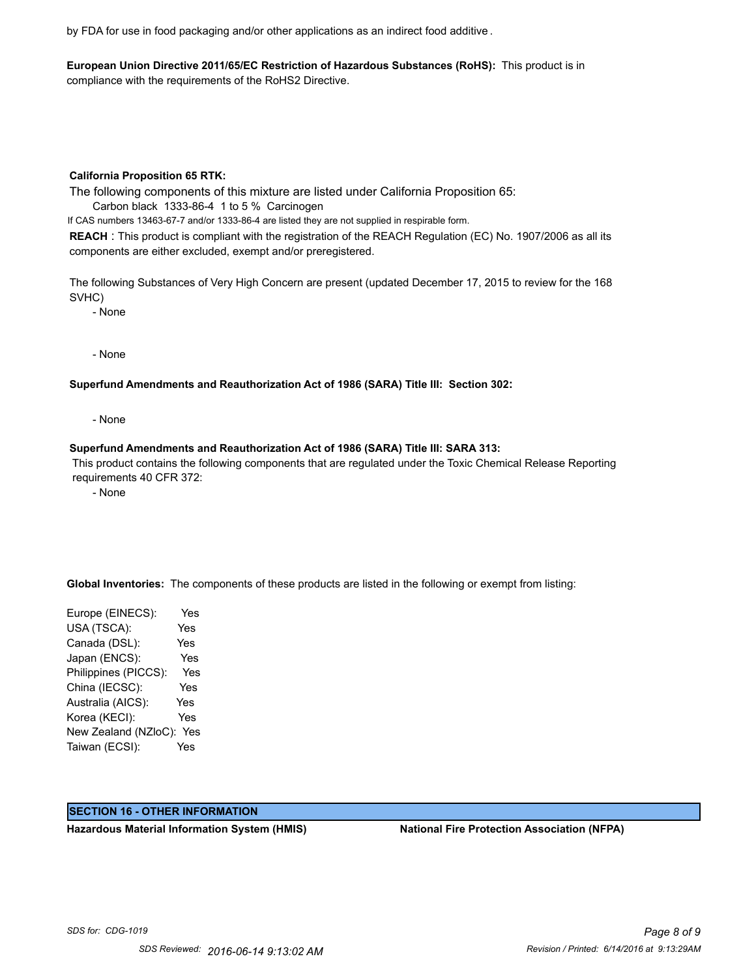by FDA for use in food packaging and/or other applications as an indirect food additive .

**European Union Directive 2011/65/EC Restriction of Hazardous Substances (RoHS):** This product is in compliance with the requirements of the RoHS2 Directive.

#### **California Proposition 65 RTK:**

The following components of this mixture are listed under California Proposition 65:

Carbon black 1333-86-4 1 to 5 % Carcinogen

If CAS numbers 13463-67-7 and/or 1333-86-4 are listed they are not supplied in respirable form.

**REACH** : This product is compliant with the registration of the REACH Regulation (EC) No. 1907/2006 as all its components are either excluded, exempt and/or preregistered.

The following Substances of Very High Concern are present (updated December 17, 2015 to review for the 168 SVHC)

- None

- None

### **Superfund Amendments and Reauthorization Act of 1986 (SARA) Title III: Section 302:**

- None

### **Superfund Amendments and Reauthorization Act of 1986 (SARA) Title III: SARA 313:**

 This product contains the following components that are regulated under the Toxic Chemical Release Reporting requirements 40 CFR 372:

- None

**Global Inventories:** The components of these products are listed in the following or exempt from listing:

Europe (EINECS): Yes USA (TSCA): Yes Canada (DSL): Yes Japan (ENCS): Yes Philippines (PICCS): Yes China (IECSC): Yes Australia (AICS): Yes Korea (KECI): Yes New Zealand (NZloC): Yes Taiwan (ECSI): Yes

#### **SECTION 16 - OTHER INFORMATION**

**Hazardous Material Information System (HMIS) National Fire Protection Association (NFPA)**